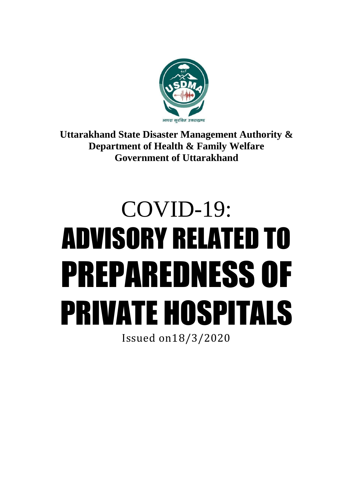

**Uttarakhand State Disaster Management Authority & Department of Health & Family Welfare Government of Uttarakhand**

# COVID-19: ADVISORY RELATED TO PREPAREDNESS OF PRIVATE HOSPITALS

Issued on18/3/2020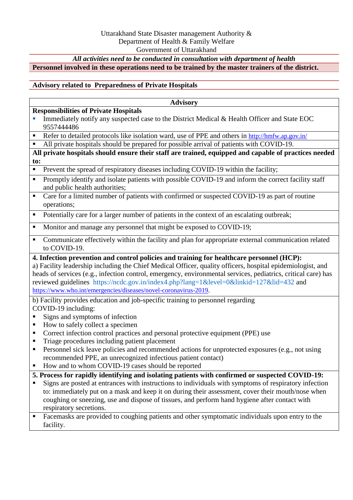# *All activities need to be conducted in consultation with department of health*

**Personnel involved in these operations need to be trained by the master trainers of the district.**

### **Advisory related to Preparedness of Private Hospitals**

### **Advisory**

### **Responsibilities of Private Hospitals**

- Immediately notify any suspected case to the District Medical & Health Officer and State EOC 9557444486
- Refer to detailed protocols like isolation ward, use of PPE and others in <http://hmfw.ap.gov.in/>
- All private hospitals should be prepared for possible arrival of patients with COVID-19.

**All private hospitals should ensure their staff are trained, equipped and capable of practices needed to:**

- **Prevent the spread of respiratory diseases including COVID-19 within the facility;**
- Promptly identify and isolate patients with possible COVID-19 and inform the correct facility staff and public health authorities;
- Care for a limited number of patients with confirmed or suspected COVID-19 as part of routine operations;
- Potentially care for a larger number of patients in the context of an escalating outbreak;
- Monitor and manage any personnel that might be exposed to COVID-19;
- Communicate effectively within the facility and plan for appropriate external communication related to COVID-19.

### **4. Infection prevention and control policies and training for healthcare personnel (HCP):**

a) Facility leadership including the Chief Medical Officer, quality officers, hospital epidemiologist, and heads of services (e.g., infection control, emergency, environmental services, pediatrics, critical care) has reviewed guidelines https://ncdc.gov.in/index4.php?lang=1&level=0&linkid=127&lid=432 and <https://www.who.int/emergencies/diseases/novel-coronavirus-2019>.

b) Facility provides education and job-specific training to personnel regarding COVID-19 including:

- Signs and symptoms of infection
- How to safely collect a specimen
- Correct infection control practices and personal protective equipment (PPE) use
- Triage procedures including patient placement
- **Personnel sick leave policies and recommended actions for unprotected exposures (e.g., not using** recommended PPE, an unrecognized infectious patient contact)
- How and to whom COVID-19 cases should be reported
- **5. Process for rapidly identifying and isolating patients with confirmed or suspected COVID-19:**
- Signs are posted at entrances with instructions to individuals with symptoms of respiratory infection to: immediately put on a mask and keep it on during their assessment, cover their mouth/nose when coughing or sneezing, use and dispose of tissues, and perform hand hygiene after contact with respiratory secretions.
- **Facemasks are provided to coughing patients and other symptomatic individuals upon entry to the** facility.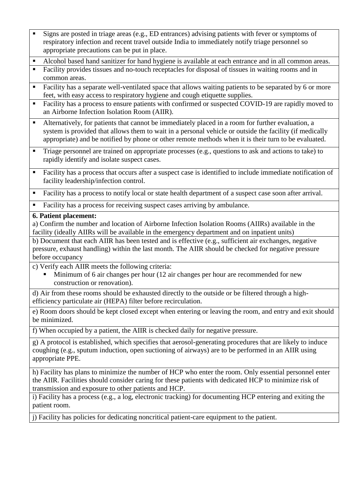- Signs are posted in triage areas (e.g., ED entrances) advising patients with fever or symptoms of respiratory infection and recent travel outside India to immediately notify triage personnel so appropriate precautions can be put in place.
- Alcohol based hand sanitizer for hand hygiene is available at each entrance and in all common areas.
- Facility provides tissues and no-touch receptacles for disposal of tissues in waiting rooms and in common areas.
- Facility has a separate well-ventilated space that allows waiting patients to be separated by 6 or more feet, with easy access to respiratory hygiene and cough etiquette supplies.
- Facility has a process to ensure patients with confirmed or suspected COVID-19 are rapidly moved to an Airborne Infection Isolation Room (AIIR).
- Alternatively, for patients that cannot be immediately placed in a room for further evaluation, a system is provided that allows them to wait in a personal vehicle or outside the facility (if medically appropriate) and be notified by phone or other remote methods when it is their turn to be evaluated.
- **Triage personnel are trained on appropriate processes (e.g., questions to ask and actions to take) to** rapidly identify and isolate suspect cases.
- Facility has a process that occurs after a suspect case is identified to include immediate notification of facility leadership/infection control.
- Facility has a process to notify local or state health department of a suspect case soon after arrival.
- Facility has a process for receiving suspect cases arriving by ambulance.

### **6. Patient placement:**

a) Confirm the number and location of Airborne Infection Isolation Rooms (AIIRs) available in the facility (ideally AIIRs will be available in the emergency department and on inpatient units)

b) Document that each AIIR has been tested and is effective (e.g., sufficient air exchanges, negative pressure, exhaust handling) within the last month. The AIIR should be checked for negative pressure before occupancy

- c) Verify each AIIR meets the following criteria:
	- Minimum of 6 air changes per hour (12 air changes per hour are recommended for new construction or renovation).

d) Air from these rooms should be exhausted directly to the outside or be filtered through a highefficiency particulate air (HEPA) filter before recirculation.

e) Room doors should be kept closed except when entering or leaving the room, and entry and exit should be minimized.

f) When occupied by a patient, the AIIR is checked daily for negative pressure.

g) A protocol is established, which specifies that aerosol-generating procedures that are likely to induce coughing (e.g., sputum induction, open suctioning of airways) are to be performed in an AIIR using appropriate PPE.

h) Facility has plans to minimize the number of HCP who enter the room. Only essential personnel enter the AIIR. Facilities should consider caring for these patients with dedicated HCP to minimize risk of transmission and exposure to other patients and HCP.

i) Facility has a process (e.g., a log, electronic tracking) for documenting HCP entering and exiting the patient room.

j) Facility has policies for dedicating noncritical patient-care equipment to the patient.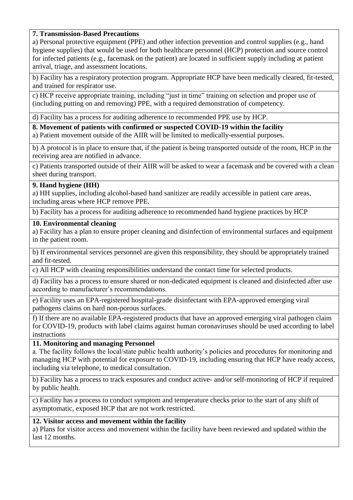## **7. Transmission-Based Precautions**

a) Personal protective equipment (PPE) and other infection prevention and control supplies (e.g., hand hygiene supplies) that would be used for both healthcare personnel (HCP) protection and source control for infected patients (e.g., facemask on the patient) are located in sufficient supply including at patient arrival, triage, and assessment locations.

b) Facility has a respiratory protection program. Appropriate HCP have been medically cleared, fit-tested, and trained for respirator use.

c) HCP receive appropriate training, including "just in time" training on selection and proper use of (including putting on and removing) PPE, with a required demonstration of competency.

d) Facility has a process for auditing adherence to recommended PPE use by HCP.

**8. Movement of patients with confirmed or suspected COVID-19 within the facility**

a) Patient movement outside of the AIIR will be limited to medically-essential purposes.

b) A protocol is in place to ensure that, if the patient is being transported outside of the room, HCP in the receiving area are notified in advance.

c) Patients transported outside of their AIIR will be asked to wear a facemask and be covered with a clean sheet during transport.

### **9. Hand hygiene (HH)**

a) HH supplies, including alcohol-based hand sanitizer are readily accessible in patient care areas, including areas where HCP remove PPE.

b) Facility has a process for auditing adherence to recommended hand hygiene practices by HCP

### **10. Environmental cleaning**

a) Facility has a plan to ensure proper cleaning and disinfection of environmental surfaces and equipment in the patient room.

b) If environmental services personnel are given this responsibility, they should be appropriately trained and fit-tested.

c) All HCP with cleaning responsibilities understand the contact time for selected products.

d) Facility has a process to ensure shared or non-dedicated equipment is cleaned and disinfected after use according to manufacturer's recommendations.

e) Facility uses an EPA-registered hospital-grade disinfectant with EPA-approved emerging viral pathogens claims on hard non-porous surfaces.

f) If there are no available EPA-registered products that have an approved emerging viral pathogen claim for COVID-19, products with label claims against human coronaviruses should be used according to label instructions

### **11. Monitoring and managing Personnel**

a. The facility follows the local/state public health authority's policies and procedures for monitoring and managing HCP with potential for exposure to COVID-19, including ensuring that HCP have ready access, including via telephone, to medical consultation.

b) Facility has a process to track exposures and conduct active- and/or self-monitoring of HCP if required by public health.

c) Facility has a process to conduct symptom and temperature checks prior to the start of any shift of asymptomatic, exposed HCP that are not work restricted.

### **12. Visitor access and movement within the facility**

a) Plans for visitor access and movement within the facility have been reviewed and updated within the last 12 months.